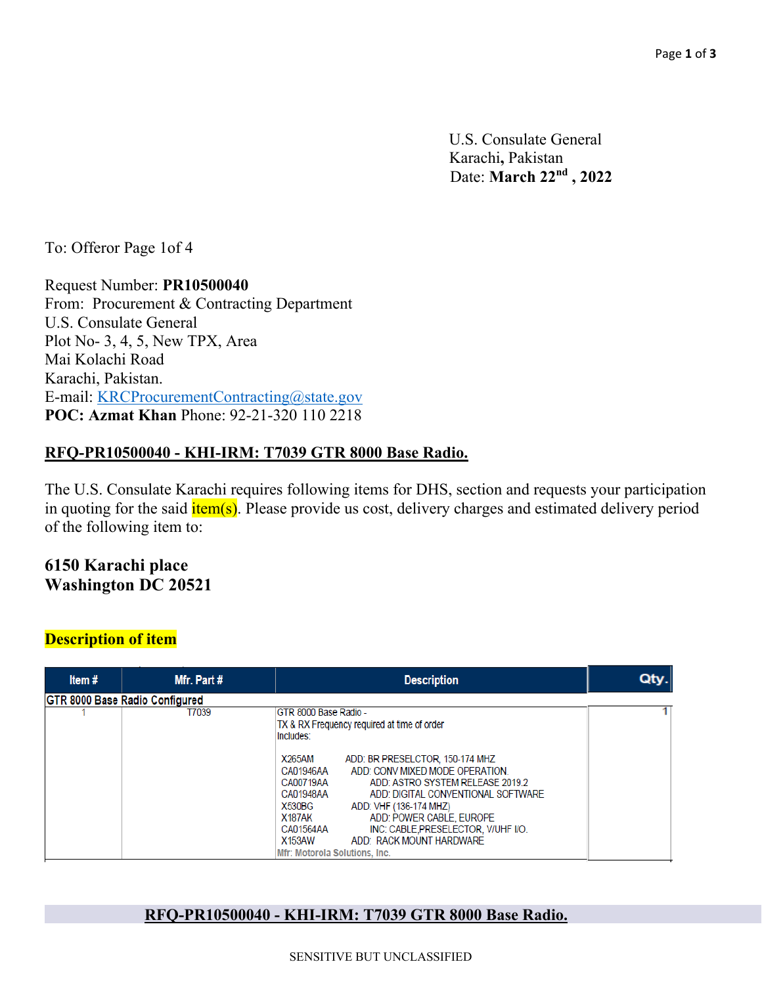U.S. Consulate General Karachi**,** Pakistan Date: **March 22nd , 2022**

To: Offeror Page 1of 4

Request Number: **PR10500040**  From: Procurement & Contracting Department U.S. Consulate General Plot No- 3, 4, 5, New TPX, Area Mai Kolachi Road Karachi, Pakistan. E-mail: KRCProcurementContracting@state.gov **POC: Azmat Khan** Phone: 92-21-320 110 2218

### **RFQ-PR10500040 - KHI-IRM: T7039 GTR 8000 Base Radio.**

The U.S. Consulate Karachi requires following items for DHS, section and requests your participation in quoting for the said  $\frac{i \text{tem(s)}}{i \text{em(s)}}$ . Please provide us cost, delivery charges and estimated delivery period of the following item to:

**6150 Karachi place Washington DC 20521** 

## **Description of item**

| Item#                          | Mfr. Part # | <b>Description</b>                                                                                                                                                                                                                                                                                                                                                                                               | Qty. |
|--------------------------------|-------------|------------------------------------------------------------------------------------------------------------------------------------------------------------------------------------------------------------------------------------------------------------------------------------------------------------------------------------------------------------------------------------------------------------------|------|
| GTR 8000 Base Radio Configured |             |                                                                                                                                                                                                                                                                                                                                                                                                                  |      |
|                                | T7039       | GTR 8000 Base Radio -<br>TX & RX Frequency required at time of order<br>Includes:                                                                                                                                                                                                                                                                                                                                |      |
|                                |             | ADD: BR PRESELCTOR, 150-174 MHZ<br><b>X265AM</b><br>ADD: CONV MIXED MODE OPERATION.<br>CA01946AA<br>CA00719AA<br>ADD: ASTRO SYSTEM RELEASE 2019.2<br>CA01948AA<br>ADD: DIGITAL CONVENTIONAL SOFTWARE<br>X530BG<br>ADD: VHF (136-174 MHZ)<br>ADD: POWER CABLE, EUROPE<br>X187AK<br>CA01564AA<br>INC: CABLE, PRESELECTOR, V/UHF I/O.<br><b>X153AW</b><br>ADD: RACK MOUNT HARDWARE<br>Mfr: Motorola Solutions, Inc. |      |

#### **RFQ-PR10500040 - KHI-IRM: T7039 GTR 8000 Base Radio.**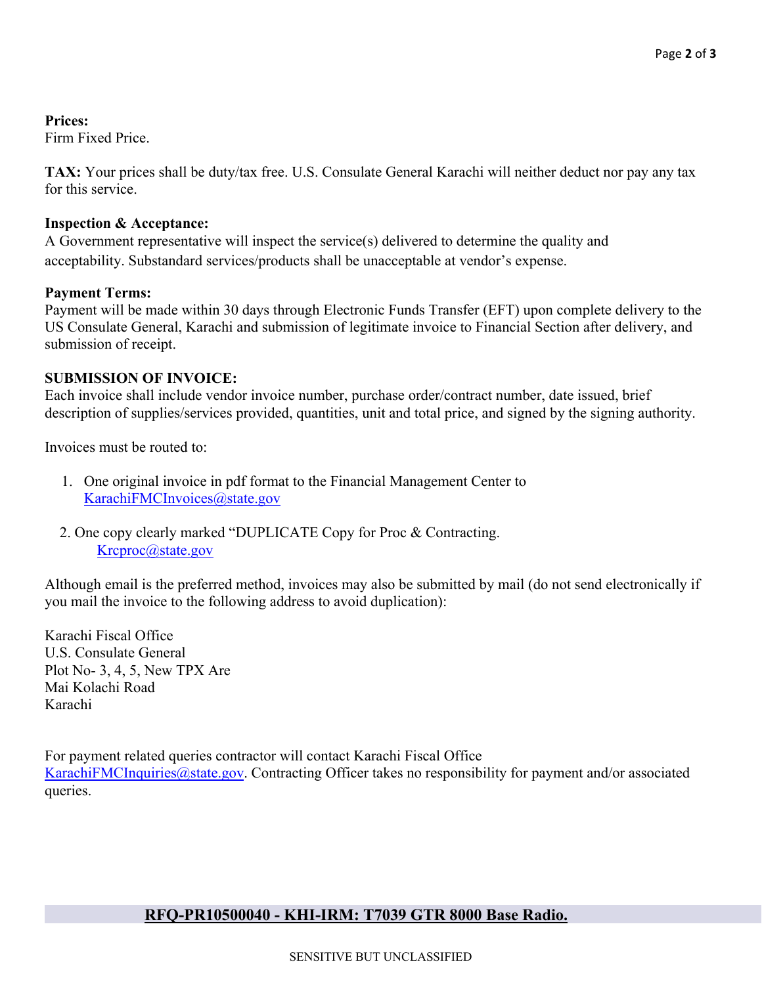**Prices:** 

Firm Fixed Price.

**TAX:** Your prices shall be duty/tax free. U.S. Consulate General Karachi will neither deduct nor pay any tax for this service.

#### **Inspection & Acceptance:**

A Government representative will inspect the service(s) delivered to determine the quality and acceptability. Substandard services/products shall be unacceptable at vendor's expense.

## **Payment Terms:**

Payment will be made within 30 days through Electronic Funds Transfer (EFT) upon complete delivery to the US Consulate General, Karachi and submission of legitimate invoice to Financial Section after delivery, and submission of receipt.

## **SUBMISSION OF INVOICE:**

Each invoice shall include vendor invoice number, purchase order/contract number, date issued, brief description of supplies/services provided, quantities, unit and total price, and signed by the signing authority.

Invoices must be routed to:

- 1. One original invoice in pdf format to the Financial Management Center to KarachiFMCInvoices@state.gov
- 2. One copy clearly marked "DUPLICATE Copy for Proc & Contracting. Krcproc@state.gov

Although email is the preferred method, invoices may also be submitted by mail (do not send electronically if you mail the invoice to the following address to avoid duplication):

Karachi Fiscal Office U.S. Consulate General Plot No- 3, 4, 5, New TPX Are Mai Kolachi Road Karachi

For payment related queries contractor will contact Karachi Fiscal Office KarachiFMCInquiries@state.gov. Contracting Officer takes no responsibility for payment and/or associated queries.

# **RFQ-PR10500040 - KHI-IRM: T7039 GTR 8000 Base Radio.**